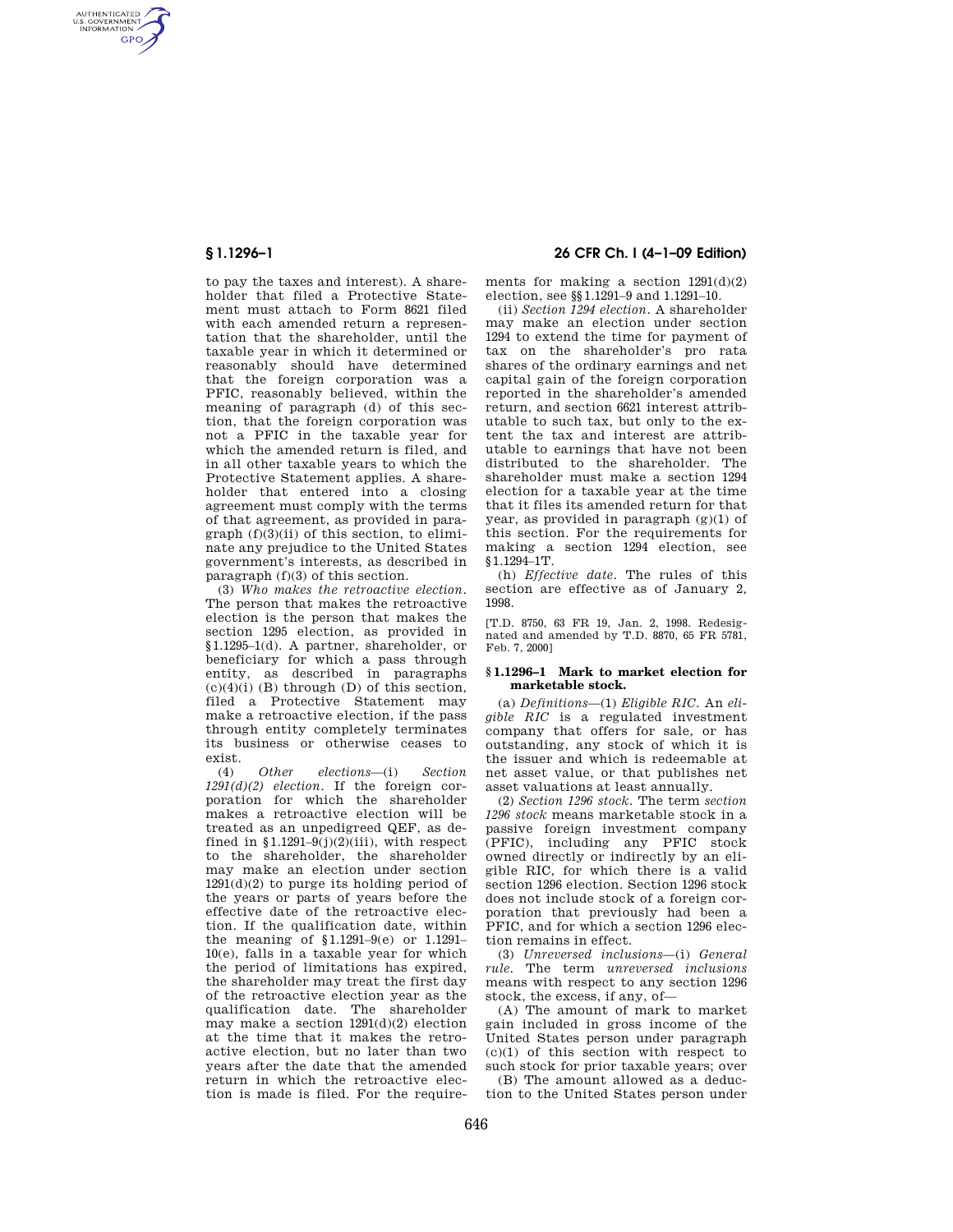AUTHENTICATED<br>U.S. GOVERNMENT<br>INFORMATION **GPO** 

> to pay the taxes and interest). A shareholder that filed a Protective Statement must attach to Form 8621 filed with each amended return a representation that the shareholder, until the taxable year in which it determined or reasonably should have determined that the foreign corporation was a PFIC, reasonably believed, within the meaning of paragraph (d) of this section, that the foreign corporation was not a PFIC in the taxable year for which the amended return is filed, and in all other taxable years to which the Protective Statement applies. A shareholder that entered into a closing agreement must comply with the terms of that agreement, as provided in paragraph  $(f)(3)(ii)$  of this section, to eliminate any prejudice to the United States government's interests, as described in paragraph (f)(3) of this section.

> (3) *Who makes the retroactive election.*  The person that makes the retroactive election is the person that makes the section 1295 election, as provided in §1.1295–1(d). A partner, shareholder, or beneficiary for which a pass through entity, as described in paragraphs  $(c)(4)(i)$  (B) through (D) of this section. filed a Protective Statement may make a retroactive election, if the pass through entity completely terminates its business or otherwise ceases to exist.

> (4) *Other elections*—(i) *Section 1291(d)(2) election.* If the foreign corporation for which the shareholder makes a retroactive election will be treated as an unpedigreed QEF, as defined in  $$1.1291-9(j)(2)(iii)$ , with respect to the shareholder, the shareholder may make an election under section  $1291(d)(2)$  to purge its holding period of the years or parts of years before the effective date of the retroactive election. If the qualification date, within the meaning of §1.1291–9(e) or 1.1291– 10(e), falls in a taxable year for which the period of limitations has expired, the shareholder may treat the first day of the retroactive election year as the qualification date. The shareholder may make a section 1291(d)(2) election at the time that it makes the retroactive election, but no later than two years after the date that the amended return in which the retroactive election is made is filed. For the require-

# **§ 1.1296–1 26 CFR Ch. I (4–1–09 Edition)**

ments for making a section  $1291(d)(2)$ election, see §§1.1291–9 and 1.1291–10.

(ii) *Section 1294 election.* A shareholder may make an election under section 1294 to extend the time for payment of tax on the shareholder's pro rata shares of the ordinary earnings and net capital gain of the foreign corporation reported in the shareholder's amended return, and section 6621 interest attributable to such tax, but only to the extent the tax and interest are attributable to earnings that have not been distributed to the shareholder. The shareholder must make a section 1294 election for a taxable year at the time that it files its amended return for that year, as provided in paragraph (g)(1) of this section. For the requirements for making a section 1294 election, see §1.1294–1T.

(h) *Effective date.* The rules of this section are effective as of January 2, 1998.

[T.D. 8750, 63 FR 19, Jan. 2, 1998. Redesignated and amended by T.D. 8870, 65 FR 5781, Feb. 7, 2000]

#### **§ 1.1296–1 Mark to market election for marketable stock.**

(a) *Definitions*—(1) *Eligible RIC.* An *eligible RIC* is a regulated investment company that offers for sale, or has outstanding, any stock of which it is the issuer and which is redeemable at net asset value, or that publishes net asset valuations at least annually.

(2) *Section 1296 stock.* The term *section 1296 stock* means marketable stock in a passive foreign investment company (PFIC), including any PFIC stock owned directly or indirectly by an eligible RIC, for which there is a valid section 1296 election. Section 1296 stock does not include stock of a foreign corporation that previously had been a PFIC, and for which a section 1296 election remains in effect.

(3) *Unreversed inclusions*—(i) *General rule.* The term *unreversed inclusions*  means with respect to any section 1296 stock, the excess, if any, of—

(A) The amount of mark to market gain included in gross income of the United States person under paragraph (c)(1) of this section with respect to such stock for prior taxable years; over

(B) The amount allowed as a deduction to the United States person under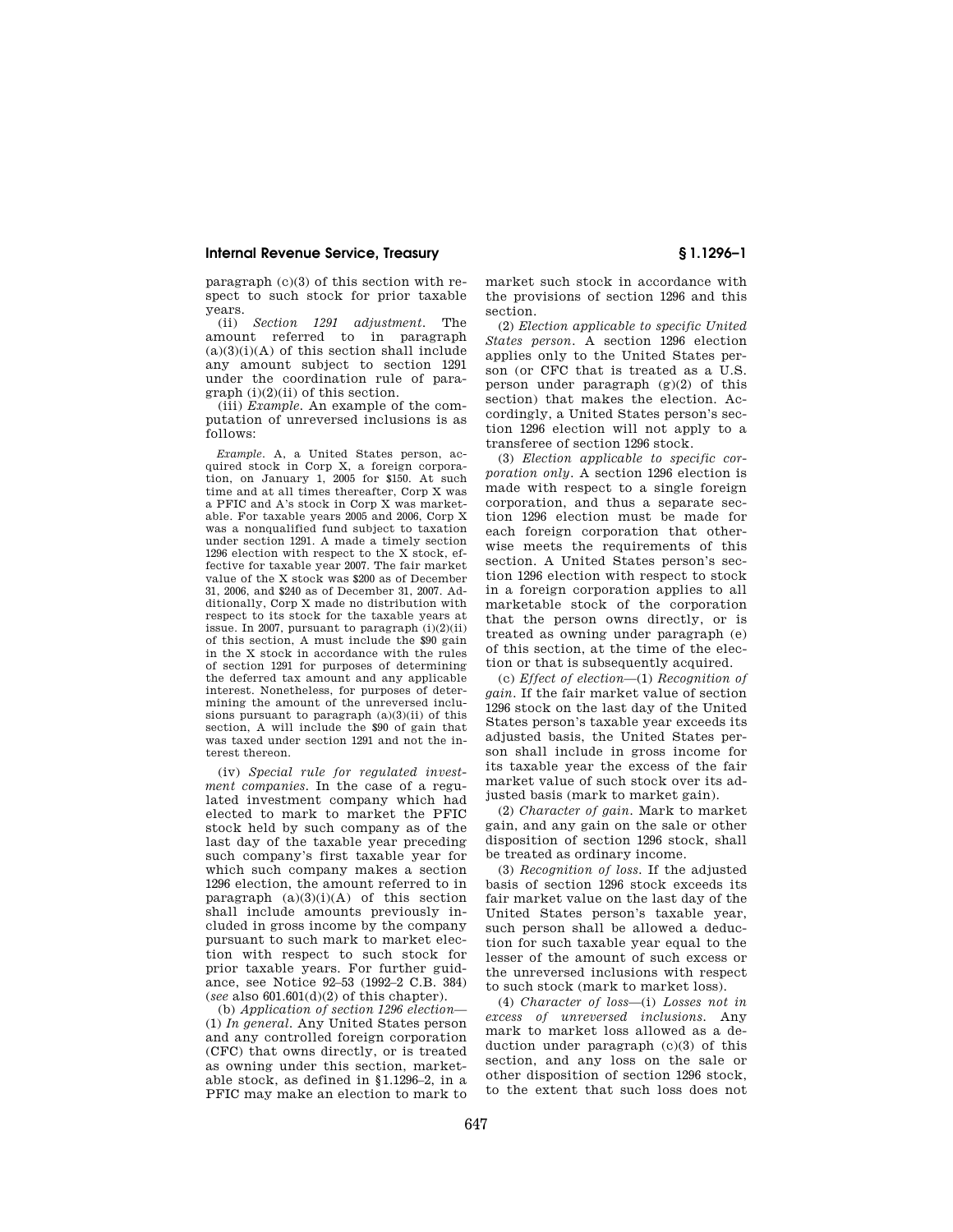paragraph (c)(3) of this section with respect to such stock for prior taxable years.

(ii) *Section 1291 adjustment.* The amount referred to in paragraph  $(a)(3)(i)(A)$  of this section shall include any amount subject to section 1291 under the coordination rule of para $graph (i)(2)(ii)$  of this section.

(iii) *Example.* An example of the computation of unreversed inclusions is as follows:

*Example.* A, a United States person, acquired stock in Corp X, a foreign corporation, on January 1, 2005 for \$150. At such time and at all times thereafter, Corp X was a PFIC and A's stock in Corp X was marketable. For taxable years 2005 and 2006, Corp X was a nonqualified fund subject to taxation under section 1291. A made a timely section 1296 election with respect to the X stock, effective for taxable year 2007. The fair market value of the X stock was \$200 as of December 31, 2006, and \$240 as of December 31, 2007. Additionally, Corp X made no distribution with respect to its stock for the taxable years at issue. In 2007, pursuant to paragraph  $(i)(2)(ii)$ of this section, A must include the \$90 gain in the X stock in accordance with the rules of section 1291 for purposes of determining the deferred tax amount and any applicable interest. Nonetheless, for purposes of determining the amount of the unreversed inclusions pursuant to paragraph  $(a)(3)(ii)$  of this section, A will include the \$90 of gain that was taxed under section 1291 and not the interest thereon.

(iv) *Special rule for regulated investment companies.* In the case of a regulated investment company which had elected to mark to market the PFIC stock held by such company as of the last day of the taxable year preceding such company's first taxable year for which such company makes a section 1296 election, the amount referred to in paragraph (a)(3)(i)(A) of this section shall include amounts previously included in gross income by the company pursuant to such mark to market election with respect to such stock for prior taxable years. For further guidance, see Notice 92–53 (1992–2 C.B. 384) (*see* also 601.601(d)(2) of this chapter).

(b) *Application of section 1296 election*— (1) *In general.* Any United States person and any controlled foreign corporation (CFC) that owns directly, or is treated as owning under this section, marketable stock, as defined in §1.1296–2, in a PFIC may make an election to mark to market such stock in accordance with the provisions of section 1296 and this section.

(2) *Election applicable to specific United States person.* A section 1296 election applies only to the United States person (or CFC that is treated as a U.S. person under paragraph (g)(2) of this section) that makes the election. Accordingly, a United States person's section 1296 election will not apply to a transferee of section 1296 stock.

(3) *Election applicable to specific corporation only.* A section 1296 election is made with respect to a single foreign corporation, and thus a separate section 1296 election must be made for each foreign corporation that otherwise meets the requirements of this section. A United States person's section 1296 election with respect to stock in a foreign corporation applies to all marketable stock of the corporation that the person owns directly, or is treated as owning under paragraph (e) of this section, at the time of the election or that is subsequently acquired.

(c) *Effect of election*—(1) *Recognition of gain.* If the fair market value of section 1296 stock on the last day of the United States person's taxable year exceeds its adjusted basis, the United States person shall include in gross income for its taxable year the excess of the fair market value of such stock over its adjusted basis (mark to market gain).

(2) *Character of gain.* Mark to market gain, and any gain on the sale or other disposition of section 1296 stock, shall be treated as ordinary income.

(3) *Recognition of loss.* If the adjusted basis of section 1296 stock exceeds its fair market value on the last day of the United States person's taxable year, such person shall be allowed a deduction for such taxable year equal to the lesser of the amount of such excess or the unreversed inclusions with respect to such stock (mark to market loss).

(4) *Character of loss*—(i) *Losses not in excess of unreversed inclusions.* Any mark to market loss allowed as a deduction under paragraph (c)(3) of this section, and any loss on the sale or other disposition of section 1296 stock, to the extent that such loss does not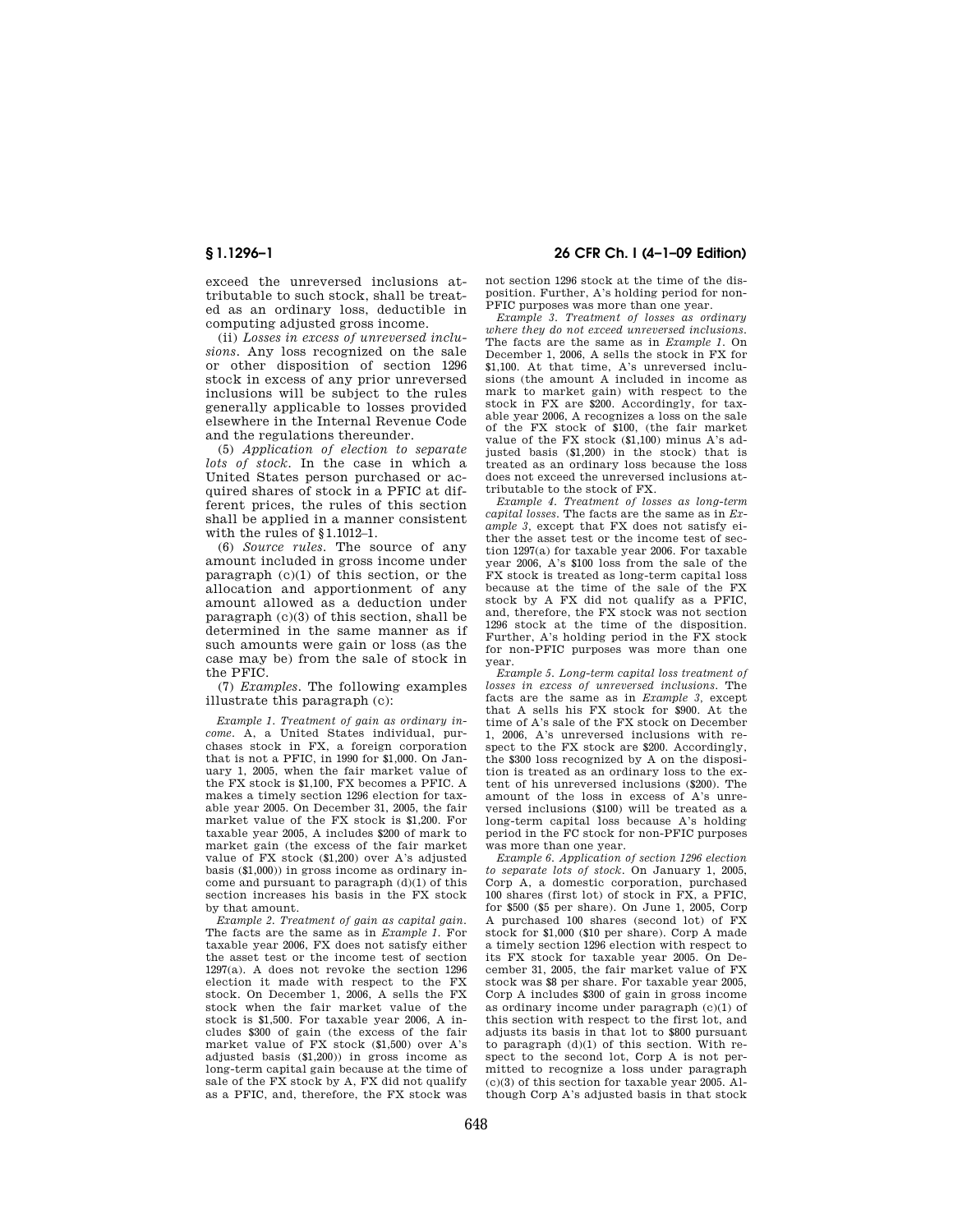exceed the unreversed inclusions attributable to such stock, shall be treated as an ordinary loss, deductible in computing adjusted gross income.

(ii) *Losses in excess of unreversed inclusions.* Any loss recognized on the sale or other disposition of section 1296 stock in excess of any prior unreversed inclusions will be subject to the rules generally applicable to losses provided elsewhere in the Internal Revenue Code and the regulations thereunder.

(5) *Application of election to separate lots of stock.* In the case in which a United States person purchased or acquired shares of stock in a PFIC at different prices, the rules of this section shall be applied in a manner consistent with the rules of §1.1012–1.

(6) *Source rules.* The source of any amount included in gross income under paragraph (c)(1) of this section, or the allocation and apportionment of any amount allowed as a deduction under paragraph (c)(3) of this section, shall be determined in the same manner as if such amounts were gain or loss (as the case may be) from the sale of stock in the PFIC.

(7) *Examples.* The following examples illustrate this paragraph (c):

*Example 1. Treatment of gain as ordinary income.* A, a United States individual, purchases stock in FX, a foreign corporation that is not a PFIC, in 1990 for \$1,000. On January 1, 2005, when the fair market value of the FX stock is \$1,100, FX becomes a PFIC. A makes a timely section 1296 election for taxable year 2005. On December 31, 2005, the fair market value of the FX stock is \$1,200. For taxable year 2005, A includes \$200 of mark to market gain (the excess of the fair market value of FX stock (\$1,200) over A's adjusted basis (\$1,000)) in gross income as ordinary income and pursuant to paragraph (d)(1) of this section increases his basis in the FX stock by that amount.

*Example 2. Treatment of gain as capital gain.*  The facts are the same as in *Example 1.* For taxable year 2006, FX does not satisfy either the asset test or the income test of section 1297(a). A does not revoke the section 1296 election it made with respect to the FX stock. On December 1, 2006, A sells the FX stock when the fair market value of the stock is \$1,500. For taxable year 2006, A includes \$300 of gain (the excess of the fair market value of FX stock (\$1,500) over A's adjusted basis (\$1,200)) in gross income as long-term capital gain because at the time of sale of the FX stock by A, FX did not qualify as a PFIC, and, therefore, the FX stock was

## **§ 1.1296–1 26 CFR Ch. I (4–1–09 Edition)**

not section 1296 stock at the time of the disposition. Further, A's holding period for non-PFIC purposes was more than one year.

*Example 3. Treatment of losses as ordinary where they do not exceed unreversed inclusions.*  The facts are the same as in *Example 1.* On December 1, 2006, A sells the stock in FX for \$1,100. At that time, A's unreversed inclusions (the amount A included in income as mark to market gain) with respect to the stock in FX are \$200. Accordingly, for taxable year 2006, A recognizes a loss on the sale of the FX stock of \$100, (the fair market value of the FX stock (\$1,100) minus A's adjusted basis (\$1,200) in the stock) that is treated as an ordinary loss because the loss does not exceed the unreversed inclusions attributable to the stock of FX.

*Example 4. Treatment of losses as long-term capital losses.* The facts are the same as in *Example 3,* except that FX does not satisfy either the asset test or the income test of section 1297(a) for taxable year 2006. For taxable year 2006, A's \$100 loss from the sale of the FX stock is treated as long-term capital loss because at the time of the sale of the FX stock by A FX did not qualify as a PFIC, and, therefore, the FX stock was not section 1296 stock at the time of the disposition. Further, A's holding period in the FX stock for non-PFIC purposes was more than one year.

*Example 5. Long-term capital loss treatment of losses in excess of unreversed inclusions.* The facts are the same as in *Example 3,* except that A sells his FX stock for \$900. At the time of A's sale of the FX stock on December 1, 2006, A's unreversed inclusions with respect to the FX stock are \$200. Accordingly, the \$300 loss recognized by A on the disposition is treated as an ordinary loss to the extent of his unreversed inclusions (\$200). The amount of the loss in excess of A's unreversed inclusions (\$100) will be treated as a long-term capital loss because A's holding period in the FC stock for non-PFIC purposes was more than one year.

*Example 6. Application of section 1296 election to separate lots of stock.* On January 1, 2005, Corp A, a domestic corporation, purchased 100 shares (first lot) of stock in FX, a PFIC, for \$500 (\$5 per share). On June 1, 2005, Corp A purchased 100 shares (second lot) of FX stock for \$1,000 (\$10 per share). Corp A made a timely section 1296 election with respect to its FX stock for taxable year 2005. On December 31, 2005, the fair market value of FX stock was \$8 per share. For taxable year 2005, Corp A includes \$300 of gain in gross income as ordinary income under paragraph (c)(1) of this section with respect to the first lot, and adjusts its basis in that lot to \$800 pursuant to paragraph (d)(1) of this section. With respect to the second lot, Corp A is not permitted to recognize a loss under paragraph (c)(3) of this section for taxable year 2005. Although Corp A's adjusted basis in that stock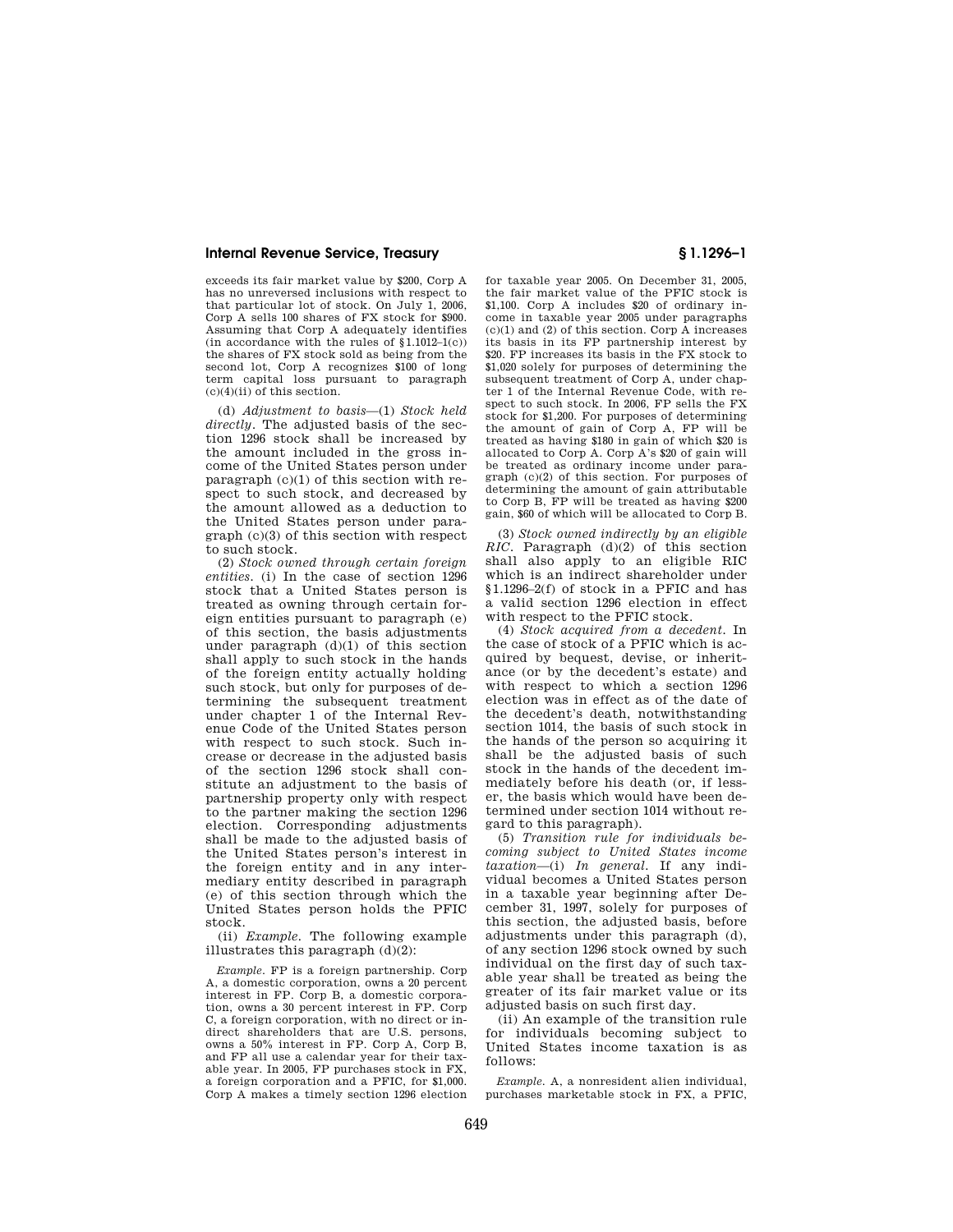exceeds its fair market value by \$200, Corp A has no unreversed inclusions with respect to that particular lot of stock. On July 1, 2006, Corp A sells 100 shares of FX stock for \$900. Assuming that Corp A adequately identifies (in accordance with the rules of  $(1.1012-1(c))$ ) the shares of FX stock sold as being from the second lot, Corp A recognizes \$100 of long term capital loss pursuant to paragraph (c)(4)(ii) of this section.

(d) *Adjustment to basis*—(1) *Stock held directly.* The adjusted basis of the section 1296 stock shall be increased by the amount included in the gross income of the United States person under paragraph (c)(1) of this section with respect to such stock, and decreased by the amount allowed as a deduction to the United States person under paragraph (c)(3) of this section with respect to such stock.

(2) *Stock owned through certain foreign entities.* (i) In the case of section 1296 stock that a United States person is treated as owning through certain foreign entities pursuant to paragraph (e) of this section, the basis adjustments under paragraph  $(d)(1)$  of this section shall apply to such stock in the hands of the foreign entity actually holding such stock, but only for purposes of determining the subsequent treatment under chapter 1 of the Internal Revenue Code of the United States person with respect to such stock. Such increase or decrease in the adjusted basis of the section 1296 stock shall constitute an adjustment to the basis of partnership property only with respect to the partner making the section 1296 election. Corresponding adjustments shall be made to the adjusted basis of the United States person's interest in the foreign entity and in any intermediary entity described in paragraph (e) of this section through which the United States person holds the PFIC stock.

(ii) *Example.* The following example illustrates this paragraph (d)(2):

*Example.* FP is a foreign partnership. Corp A, a domestic corporation, owns a 20 percent interest in FP. Corp B, a domestic corporation, owns a 30 percent interest in FP. Corp C, a foreign corporation, with no direct or indirect shareholders that are U.S. persons, owns a 50% interest in FP. Corp A, Corp B, and FP all use a calendar year for their taxable year. In 2005, FP purchases stock in FX, a foreign corporation and a PFIC, for \$1,000. Corp A makes a timely section 1296 election

for taxable year 2005. On December 31, 2005, the fair market value of the PFIC stock is \$1,100. Corp A includes \$20 of ordinary income in taxable year 2005 under paragraphs  $(c)(1)$  and  $(2)$  of this section. Corp A increases its basis in its FP partnership interest by \$20. FP increases its basis in the FX stock to \$1,020 solely for purposes of determining the subsequent treatment of Corp A, under chapter 1 of the Internal Revenue Code, with respect to such stock. In 2006, FP sells the FX stock for \$1,200. For purposes of determining the amount of gain of Corp A, FP will be treated as having \$180 in gain of which \$20 is allocated to Corp A. Corp A's \$20 of gain will be treated as ordinary income under paragraph (c)(2) of this section. For purposes of determining the amount of gain attributable to Corp B, FP will be treated as having \$200 gain, \$60 of which will be allocated to Corp B.

(3) *Stock owned indirectly by an eligible RIC.* Paragraph (d)(2) of this section shall also apply to an eligible RIC which is an indirect shareholder under §1.1296–2(f) of stock in a PFIC and has a valid section 1296 election in effect with respect to the PFIC stock.

(4) *Stock acquired from a decedent.* In the case of stock of a PFIC which is acquired by bequest, devise, or inheritance (or by the decedent's estate) and with respect to which a section 1296 election was in effect as of the date of the decedent's death, notwithstanding section 1014, the basis of such stock in the hands of the person so acquiring it shall be the adjusted basis of such stock in the hands of the decedent immediately before his death (or, if lesser, the basis which would have been determined under section 1014 without regard to this paragraph).

(5) *Transition rule for individuals becoming subject to United States income taxation*—(i) *In general.* If any individual becomes a United States person in a taxable year beginning after December 31, 1997, solely for purposes of this section, the adjusted basis, before adjustments under this paragraph (d), of any section 1296 stock owned by such individual on the first day of such taxable year shall be treated as being the greater of its fair market value or its adjusted basis on such first day.

(ii) An example of the transition rule for individuals becoming subject to United States income taxation is as follows:

*Example.* A, a nonresident alien individual, purchases marketable stock in FX, a PFIC,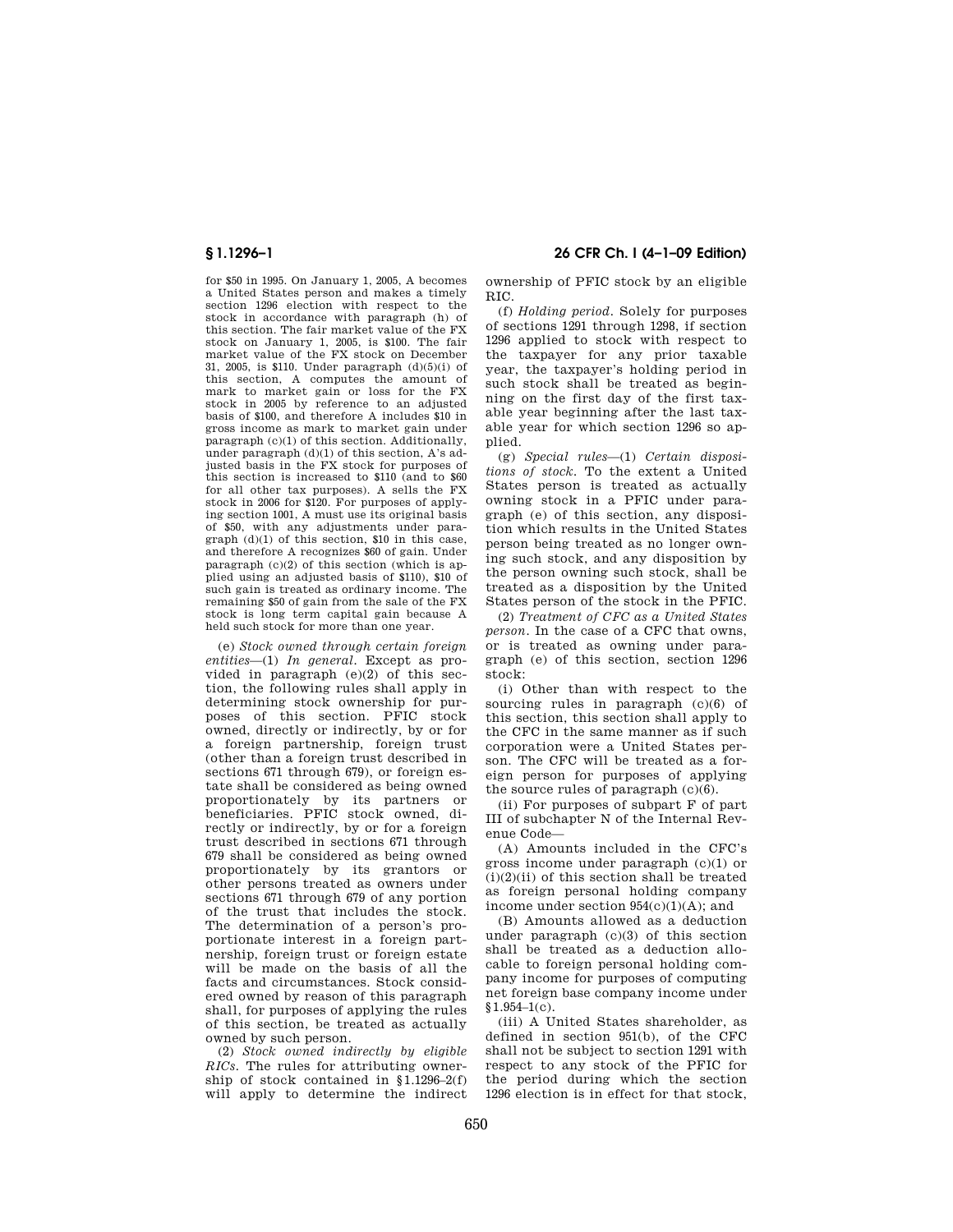for \$50 in 1995. On January 1, 2005, A becomes a United States person and makes a timely section 1296 election with respect to the stock in accordance with paragraph (h) of this section. The fair market value of the FX stock on January 1, 2005, is \$100. The fair market value of the FX stock on December 31, 2005, is \$110. Under paragraph (d)(5)(i) of this section, A computes the amount of mark to market gain or loss for the FX stock in 2005 by reference to an adjusted basis of \$100, and therefore A includes \$10 in gross income as mark to market gain under paragraph (c)(1) of this section. Additionally, under paragraph  $(d)(1)$  of this section, A's adjusted basis in the FX stock for purposes of this section is increased to \$110 (and to \$60 for all other tax purposes). A sells the FX stock in 2006 for \$120. For purposes of applying section 1001, A must use its original basis of \$50, with any adjustments under paragraph (d)(1) of this section, \$10 in this case, and therefore A recognizes \$60 of gain. Under paragraph  $(c)(2)$  of this section (which is applied using an adjusted basis of \$110), \$10 of such gain is treated as ordinary income. The remaining \$50 of gain from the sale of the FX stock is long term capital gain because A held such stock for more than one year.

(e) *Stock owned through certain foreign entities*—(1) *In general.* Except as provided in paragraph (e)(2) of this section, the following rules shall apply in determining stock ownership for purposes of this section. PFIC stock owned, directly or indirectly, by or for a foreign partnership, foreign trust (other than a foreign trust described in sections 671 through 679), or foreign estate shall be considered as being owned proportionately by its partners or beneficiaries. PFIC stock owned, directly or indirectly, by or for a foreign trust described in sections 671 through 679 shall be considered as being owned proportionately by its grantors or other persons treated as owners under sections 671 through 679 of any portion of the trust that includes the stock. The determination of a person's proportionate interest in a foreign partnership, foreign trust or foreign estate will be made on the basis of all the facts and circumstances. Stock considered owned by reason of this paragraph shall, for purposes of applying the rules of this section, be treated as actually owned by such person.

(2) *Stock owned indirectly by eligible RICs.* The rules for attributing ownership of stock contained in §1.1296–2(f) will apply to determine the indirect

**§ 1.1296–1 26 CFR Ch. I (4–1–09 Edition)** 

ownership of PFIC stock by an eligible RIC.

(f) *Holding period.* Solely for purposes of sections 1291 through 1298, if section 1296 applied to stock with respect to the taxpayer for any prior taxable year, the taxpayer's holding period in such stock shall be treated as beginning on the first day of the first taxable year beginning after the last taxable year for which section 1296 so applied.

(g) *Special rules*—(1) *Certain dispositions of stock.* To the extent a United States person is treated as actually owning stock in a PFIC under paragraph (e) of this section, any disposition which results in the United States person being treated as no longer owning such stock, and any disposition by the person owning such stock, shall be treated as a disposition by the United States person of the stock in the PFIC.

(2) *Treatment of CFC as a United States person.* In the case of a CFC that owns, or is treated as owning under paragraph (e) of this section, section 1296 stock:

(i) Other than with respect to the sourcing rules in paragraph (c)(6) of this section, this section shall apply to the CFC in the same manner as if such corporation were a United States person. The CFC will be treated as a foreign person for purposes of applying the source rules of paragraph (c)(6).

(ii) For purposes of subpart F of part III of subchapter N of the Internal Revenue Code—

(A) Amounts included in the CFC's gross income under paragraph (c)(1) or  $(i)(2)(ii)$  of this section shall be treated as foreign personal holding company income under section  $954(c)(1)(A)$ ; and

(B) Amounts allowed as a deduction under paragraph (c)(3) of this section shall be treated as a deduction allocable to foreign personal holding company income for purposes of computing net foreign base company income under  $$1.954-1(c)$ .

(iii) A United States shareholder, as defined in section 951(b), of the CFC shall not be subject to section 1291 with respect to any stock of the PFIC for the period during which the section 1296 election is in effect for that stock,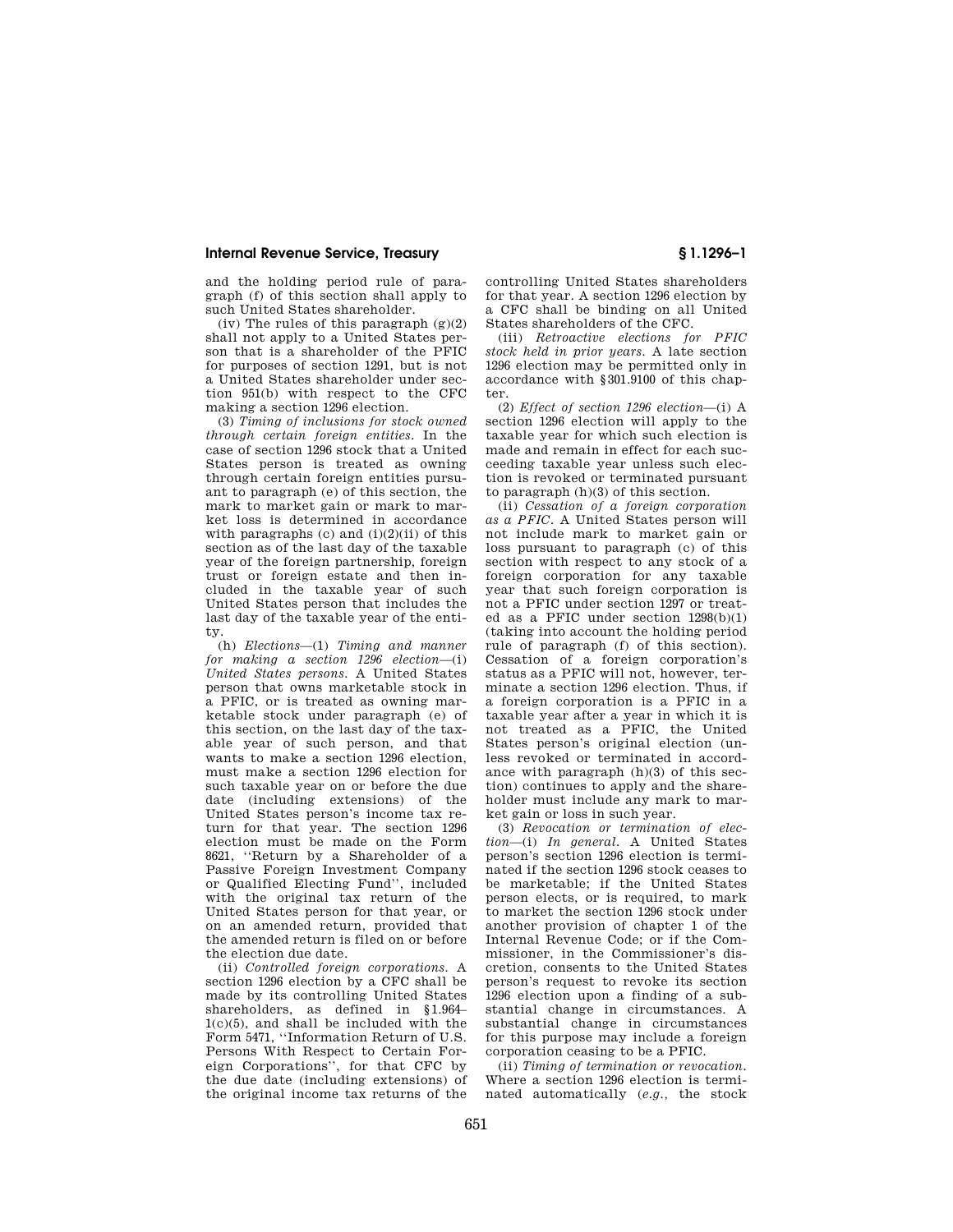and the holding period rule of paragraph (f) of this section shall apply to such United States shareholder.

(iv) The rules of this paragraph  $(g)(2)$ shall not apply to a United States person that is a shareholder of the PFIC for purposes of section 1291, but is not a United States shareholder under section 951(b) with respect to the CFC making a section 1296 election.

(3) *Timing of inclusions for stock owned through certain foreign entities.* In the case of section 1296 stock that a United States person is treated as owning through certain foreign entities pursuant to paragraph (e) of this section, the mark to market gain or mark to market loss is determined in accordance with paragraphs (c) and  $(i)(2)(ii)$  of this section as of the last day of the taxable year of the foreign partnership, foreign trust or foreign estate and then included in the taxable year of such United States person that includes the last day of the taxable year of the entity.

(h) *Elections*—(1) *Timing and manner for making a section 1296 election*—(i) *United States persons.* A United States person that owns marketable stock in a PFIC, or is treated as owning marketable stock under paragraph (e) of this section, on the last day of the taxable year of such person, and that wants to make a section 1296 election, must make a section 1296 election for such taxable year on or before the due date (including extensions) of the United States person's income tax return for that year. The section 1296 election must be made on the Form 8621, ''Return by a Shareholder of a Passive Foreign Investment Company or Qualified Electing Fund'', included with the original tax return of the United States person for that year, or on an amended return, provided that the amended return is filed on or before the election due date.

(ii) *Controlled foreign corporations.* A section 1296 election by a CFC shall be made by its controlling United States shareholders, as defined in §1.964– 1(c)(5), and shall be included with the Form 5471, ''Information Return of U.S. Persons With Respect to Certain Foreign Corporations'', for that CFC by the due date (including extensions) of the original income tax returns of the

controlling United States shareholders for that year. A section 1296 election by a CFC shall be binding on all United States shareholders of the CFC.

(iii) *Retroactive elections for PFIC stock held in prior years.* A late section 1296 election may be permitted only in accordance with §301.9100 of this chapter.

(2) *Effect of section 1296 election*—(i) A section 1296 election will apply to the taxable year for which such election is made and remain in effect for each succeeding taxable year unless such election is revoked or terminated pursuant to paragraph (h)(3) of this section.

(ii) *Cessation of a foreign corporation as a PFIC.* A United States person will not include mark to market gain or loss pursuant to paragraph (c) of this section with respect to any stock of a foreign corporation for any taxable year that such foreign corporation is not a PFIC under section 1297 or treated as a PFIC under section 1298(b)(1) (taking into account the holding period rule of paragraph (f) of this section). Cessation of a foreign corporation's status as a PFIC will not, however, terminate a section 1296 election. Thus, if a foreign corporation is a PFIC in a taxable year after a year in which it is not treated as a PFIC, the United States person's original election (unless revoked or terminated in accordance with paragraph (h)(3) of this section) continues to apply and the shareholder must include any mark to market gain or loss in such year.

(3) *Revocation or termination of election*—(i) *In general.* A United States person's section 1296 election is terminated if the section 1296 stock ceases to be marketable; if the United States person elects, or is required, to mark to market the section 1296 stock under another provision of chapter 1 of the Internal Revenue Code; or if the Commissioner, in the Commissioner's discretion, consents to the United States person's request to revoke its section 1296 election upon a finding of a substantial change in circumstances. A substantial change in circumstances for this purpose may include a foreign corporation ceasing to be a PFIC.

(ii) *Timing of termination or revocation.*  Where a section 1296 election is terminated automatically (*e.g.,* the stock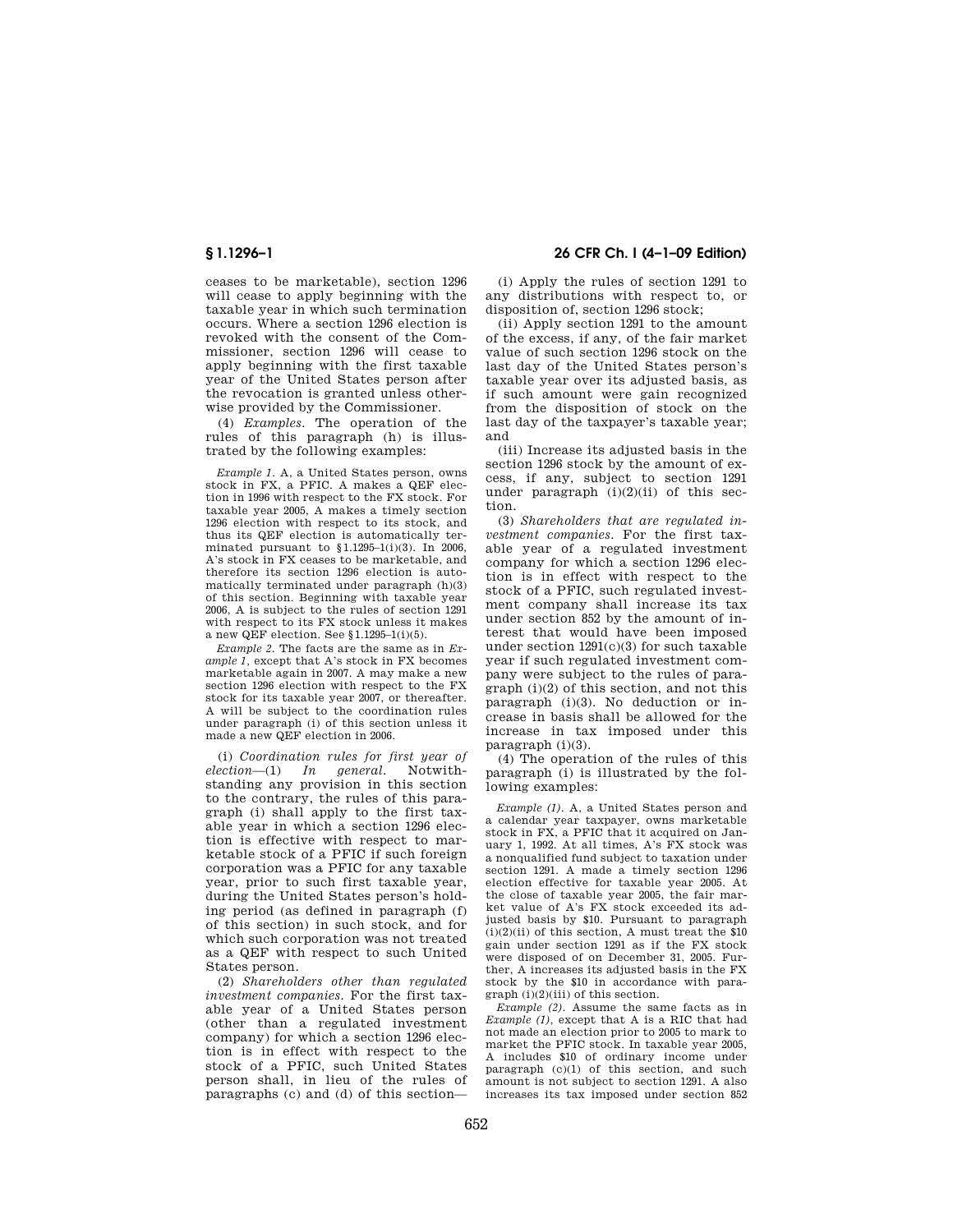ceases to be marketable), section 1296 will cease to apply beginning with the taxable year in which such termination occurs. Where a section 1296 election is revoked with the consent of the Commissioner, section 1296 will cease to apply beginning with the first taxable year of the United States person after the revocation is granted unless otherwise provided by the Commissioner.

(4) *Examples.* The operation of the rules of this paragraph (h) is illustrated by the following examples:

*Example 1.* A, a United States person, owns stock in FX, a PFIC. A makes a QEF election in 1996 with respect to the FX stock. For taxable year 2005, A makes a timely section 1296 election with respect to its stock, and thus its QEF election is automatically terminated pursuant to §1.1295–1(i)(3). In 2006, A's stock in FX ceases to be marketable, and therefore its section 1296 election is automatically terminated under paragraph (h)(3) of this section. Beginning with taxable year 2006, A is subject to the rules of section 1291 with respect to its FX stock unless it makes a new QEF election. See §1.1295–1(i)(5).

*Example 2.* The facts are the same as in *Example 1,* except that A's stock in FX becomes marketable again in 2007. A may make a new section 1296 election with respect to the FX stock for its taxable year 2007, or thereafter. A will be subject to the coordination rules under paragraph (i) of this section unless it made a new QEF election in 2006.

(i) *Coordination rules for first year of election*—(1) *In general.* Notwithstanding any provision in this section to the contrary, the rules of this paragraph (i) shall apply to the first taxable year in which a section 1296 election is effective with respect to marketable stock of a PFIC if such foreign corporation was a PFIC for any taxable year, prior to such first taxable year, during the United States person's holding period (as defined in paragraph (f) of this section) in such stock, and for which such corporation was not treated as a QEF with respect to such United States person.

(2) *Shareholders other than regulated investment companies.* For the first taxable year of a United States person (other than a regulated investment company) for which a section 1296 election is in effect with respect to the stock of a PFIC, such United States person shall, in lieu of the rules of paragraphs (c) and (d) of this section—

**§ 1.1296–1 26 CFR Ch. I (4–1–09 Edition)** 

(i) Apply the rules of section 1291 to any distributions with respect to, or disposition of, section 1296 stock;

(ii) Apply section 1291 to the amount of the excess, if any, of the fair market value of such section 1296 stock on the last day of the United States person's taxable year over its adjusted basis, as if such amount were gain recognized from the disposition of stock on the last day of the taxpayer's taxable year; and

(iii) Increase its adjusted basis in the section 1296 stock by the amount of excess, if any, subject to section 1291 under paragraph  $(i)(2)(ii)$  of this section.

(3) *Shareholders that are regulated investment companies.* For the first taxable year of a regulated investment company for which a section 1296 election is in effect with respect to the stock of a PFIC, such regulated investment company shall increase its tax under section 852 by the amount of interest that would have been imposed under section  $1291(c)(3)$  for such taxable year if such regulated investment company were subject to the rules of paragraph (i)(2) of this section, and not this paragraph (i)(3). No deduction or increase in basis shall be allowed for the increase in tax imposed under this paragraph (i)(3).

(4) The operation of the rules of this paragraph (i) is illustrated by the following examples:

*Example (1).* A, a United States person and a calendar year taxpayer, owns marketable stock in FX, a PFIC that it acquired on January 1, 1992. At all times, A's FX stock was a nonqualified fund subject to taxation under section 1291. A made a timely section 1296 election effective for taxable year 2005. At the close of taxable year 2005, the fair market value of A's FX stock exceeded its adjusted basis by \$10. Pursuant to paragraph  $(i)(2)(ii)$  of this section, A must treat the \$10 gain under section 1291 as if the FX stock were disposed of on December 31, 2005. Further, A increases its adjusted basis in the FX stock by the \$10 in accordance with paragraph (i)(2)(iii) of this section.

*Example (2).* Assume the same facts as in *Example (1),* except that A is a RIC that had not made an election prior to 2005 to mark to market the PFIC stock. In taxable year 2005, A includes \$10 of ordinary income under paragraph (c)(1) of this section, and such amount is not subject to section 1291. A also increases its tax imposed under section 852